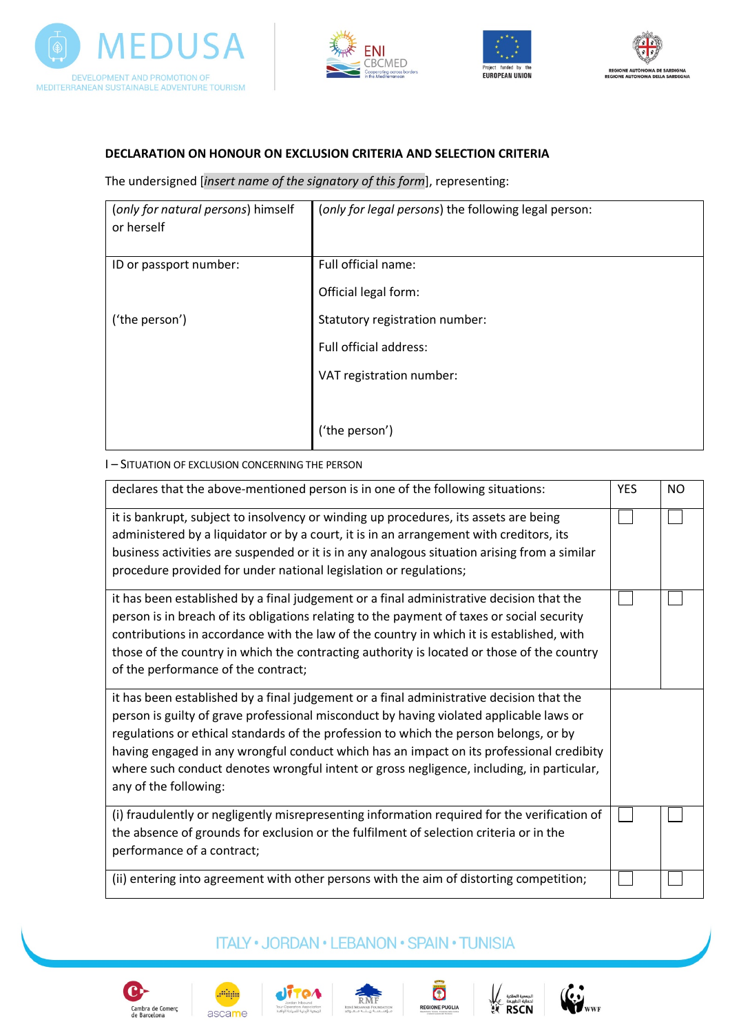







## **DECLARATION ON HONOUR ON EXCLUSION CRITERIA AND SELECTION CRITERIA**

The undersigned [*insert name of the signatory of this form*], representing:

| (only for natural persons) himself<br>or herself | (only for legal persons) the following legal person: |
|--------------------------------------------------|------------------------------------------------------|
| ID or passport number:                           | Full official name:                                  |
|                                                  | Official legal form:                                 |
| ('the person')                                   | Statutory registration number:                       |
|                                                  | Full official address:                               |
|                                                  | VAT registration number:                             |
|                                                  |                                                      |
|                                                  | ('the person')                                       |

#### I – SITUATION OF EXCLUSION CONCERNING THE PERSON

| declares that the above-mentioned person is in one of the following situations:                                                                                                                                                                                                                                                                                                                                                                                                                | <b>YES</b> | <b>NO</b> |
|------------------------------------------------------------------------------------------------------------------------------------------------------------------------------------------------------------------------------------------------------------------------------------------------------------------------------------------------------------------------------------------------------------------------------------------------------------------------------------------------|------------|-----------|
| it is bankrupt, subject to insolvency or winding up procedures, its assets are being<br>administered by a liquidator or by a court, it is in an arrangement with creditors, its<br>business activities are suspended or it is in any analogous situation arising from a similar<br>procedure provided for under national legislation or regulations;                                                                                                                                           |            |           |
| it has been established by a final judgement or a final administrative decision that the<br>person is in breach of its obligations relating to the payment of taxes or social security<br>contributions in accordance with the law of the country in which it is established, with<br>those of the country in which the contracting authority is located or those of the country<br>of the performance of the contract;                                                                        |            |           |
| it has been established by a final judgement or a final administrative decision that the<br>person is guilty of grave professional misconduct by having violated applicable laws or<br>regulations or ethical standards of the profession to which the person belongs, or by<br>having engaged in any wrongful conduct which has an impact on its professional credibity<br>where such conduct denotes wrongful intent or gross negligence, including, in particular,<br>any of the following: |            |           |
| (i) fraudulently or negligently misrepresenting information required for the verification of<br>the absence of grounds for exclusion or the fulfilment of selection criteria or in the<br>performance of a contract;                                                                                                                                                                                                                                                                           |            |           |
| (ii) entering into agreement with other persons with the aim of distorting competition;                                                                                                                                                                                                                                                                                                                                                                                                        |            |           |

# **ITALY · JORDAN · LEBANON · SPAIN · TUNISIA**











الجمعية الملكية<br>لحماية الطبيعة<br>RSCN

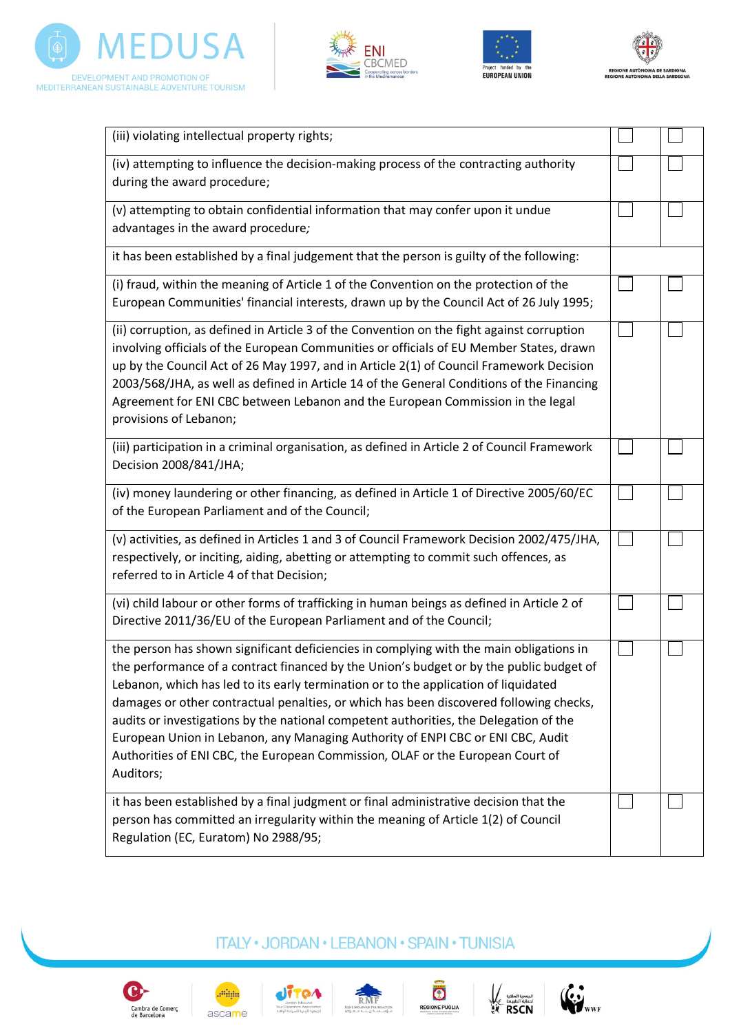







| (iii) violating intellectual property rights;                                                                                                                                                                                                                                                                                                                                                                                                                                                                                                                                                                                                  |  |
|------------------------------------------------------------------------------------------------------------------------------------------------------------------------------------------------------------------------------------------------------------------------------------------------------------------------------------------------------------------------------------------------------------------------------------------------------------------------------------------------------------------------------------------------------------------------------------------------------------------------------------------------|--|
| (iv) attempting to influence the decision-making process of the contracting authority<br>during the award procedure;                                                                                                                                                                                                                                                                                                                                                                                                                                                                                                                           |  |
| (v) attempting to obtain confidential information that may confer upon it undue<br>advantages in the award procedure;                                                                                                                                                                                                                                                                                                                                                                                                                                                                                                                          |  |
| it has been established by a final judgement that the person is guilty of the following:                                                                                                                                                                                                                                                                                                                                                                                                                                                                                                                                                       |  |
| (i) fraud, within the meaning of Article 1 of the Convention on the protection of the<br>European Communities' financial interests, drawn up by the Council Act of 26 July 1995;                                                                                                                                                                                                                                                                                                                                                                                                                                                               |  |
| (ii) corruption, as defined in Article 3 of the Convention on the fight against corruption<br>involving officials of the European Communities or officials of EU Member States, drawn<br>up by the Council Act of 26 May 1997, and in Article 2(1) of Council Framework Decision<br>2003/568/JHA, as well as defined in Article 14 of the General Conditions of the Financing<br>Agreement for ENI CBC between Lebanon and the European Commission in the legal<br>provisions of Lebanon;                                                                                                                                                      |  |
| (iii) participation in a criminal organisation, as defined in Article 2 of Council Framework<br>Decision 2008/841/JHA;                                                                                                                                                                                                                                                                                                                                                                                                                                                                                                                         |  |
| (iv) money laundering or other financing, as defined in Article 1 of Directive 2005/60/EC<br>of the European Parliament and of the Council;                                                                                                                                                                                                                                                                                                                                                                                                                                                                                                    |  |
| (v) activities, as defined in Articles 1 and 3 of Council Framework Decision 2002/475/JHA,<br>respectively, or inciting, aiding, abetting or attempting to commit such offences, as<br>referred to in Article 4 of that Decision;                                                                                                                                                                                                                                                                                                                                                                                                              |  |
| (vi) child labour or other forms of trafficking in human beings as defined in Article 2 of<br>Directive 2011/36/EU of the European Parliament and of the Council;                                                                                                                                                                                                                                                                                                                                                                                                                                                                              |  |
| the person has shown significant deficiencies in complying with the main obligations in<br>the performance of a contract financed by the Union's budget or by the public budget of<br>Lebanon, which has led to its early termination or to the application of liquidated<br>damages or other contractual penalties, or which has been discovered following checks,<br>audits or investigations by the national competent authorities, the Delegation of the<br>European Union in Lebanon, any Managing Authority of ENPI CBC or ENI CBC, Audit<br>Authorities of ENI CBC, the European Commission, OLAF or the European Court of<br>Auditors; |  |
| it has been established by a final judgment or final administrative decision that the<br>person has committed an irregularity within the meaning of Article 1(2) of Council<br>Regulation (EC, Euratom) No 2988/95;                                                                                                                                                                                                                                                                                                                                                                                                                            |  |

# **ITALY · JORDAN · LEBANON · SPAIN · TUNISIA**













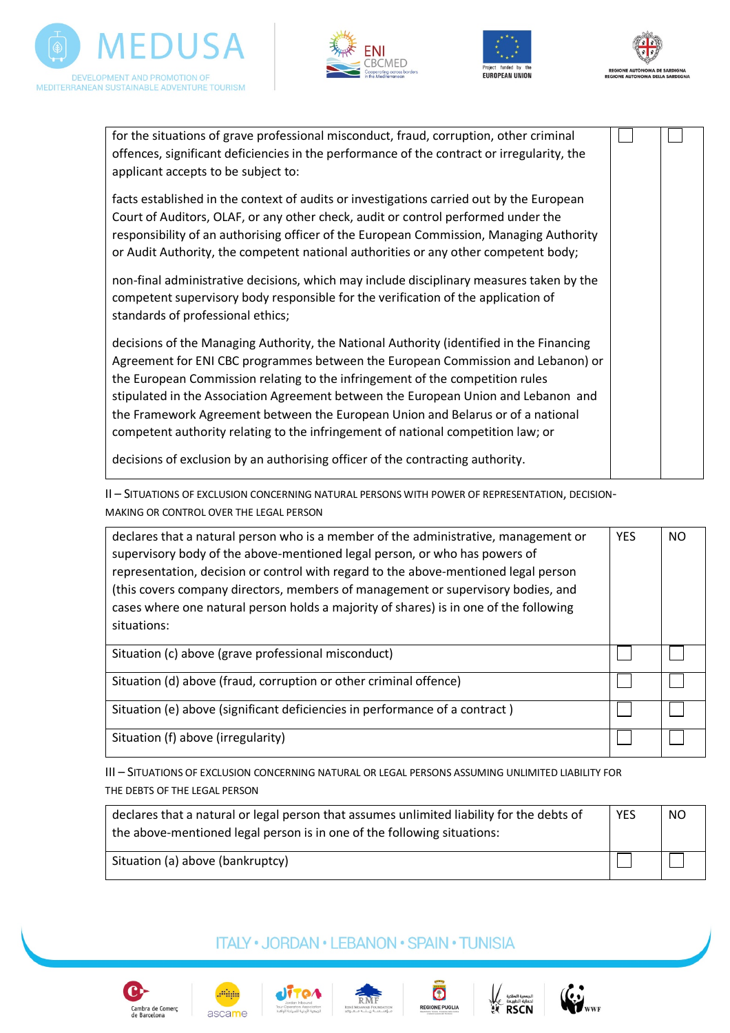







for the situations of grave professional misconduct, fraud, corruption, other criminal offences, significant deficiencies in the performance of the contract or irregularity, the applicant accepts to be subject to: facts established in the context of audits or investigations carried out by the European Court of Auditors, OLAF, or any other check, audit or control performed under the responsibility of an authorising officer of the European Commission, Managing Authority or Audit Authority, the competent national authorities or any other competent body; non-final administrative decisions, which may include disciplinary measures taken by the competent supervisory body responsible for the verification of the application of standards of professional ethics; decisions of the Managing Authority, the National Authority (identified in the Financing Agreement for ENI CBC programmes between the European Commission and Lebanon) or the European Commission relating to the infringement of the competition rules stipulated in the Association Agreement between the European Union and Lebanon and the Framework Agreement between the European Union and Belarus or of a national competent authority relating to the infringement of national competition law; or decisions of exclusion by an authorising officer of the contracting authority.

II – SITUATIONS OF EXCLUSION CONCERNING NATURAL PERSONS WITH POWER OF REPRESENTATION, DECISION-MAKING OR CONTROL OVER THE LEGAL PERSON

| declares that a natural person who is a member of the administrative, management or<br>supervisory body of the above-mentioned legal person, or who has powers of<br>representation, decision or control with regard to the above-mentioned legal person<br>(this covers company directors, members of management or supervisory bodies, and<br>cases where one natural person holds a majority of shares) is in one of the following<br>situations: | <b>YES</b> | NO. |
|------------------------------------------------------------------------------------------------------------------------------------------------------------------------------------------------------------------------------------------------------------------------------------------------------------------------------------------------------------------------------------------------------------------------------------------------------|------------|-----|
| Situation (c) above (grave professional misconduct)                                                                                                                                                                                                                                                                                                                                                                                                  |            |     |
| Situation (d) above (fraud, corruption or other criminal offence)                                                                                                                                                                                                                                                                                                                                                                                    |            |     |
| Situation (e) above (significant deficiencies in performance of a contract)                                                                                                                                                                                                                                                                                                                                                                          |            |     |
| Situation (f) above (irregularity)                                                                                                                                                                                                                                                                                                                                                                                                                   |            |     |

III – SITUATIONS OF EXCLUSION CONCERNING NATURAL OR LEGAL PERSONS ASSUMING UNLIMITED LIABILITY FOR THE DEBTS OF THE LEGAL PERSON

| declares that a natural or legal person that assumes unlimited liability for the debts of<br>the above-mentioned legal person is in one of the following situations: | <b>YES</b> | NO. |
|----------------------------------------------------------------------------------------------------------------------------------------------------------------------|------------|-----|
| Situation (a) above (bankruptcy)                                                                                                                                     |            |     |

## **ITALY · JORDAN · LEBANON · SPAIN · TUNISIA**











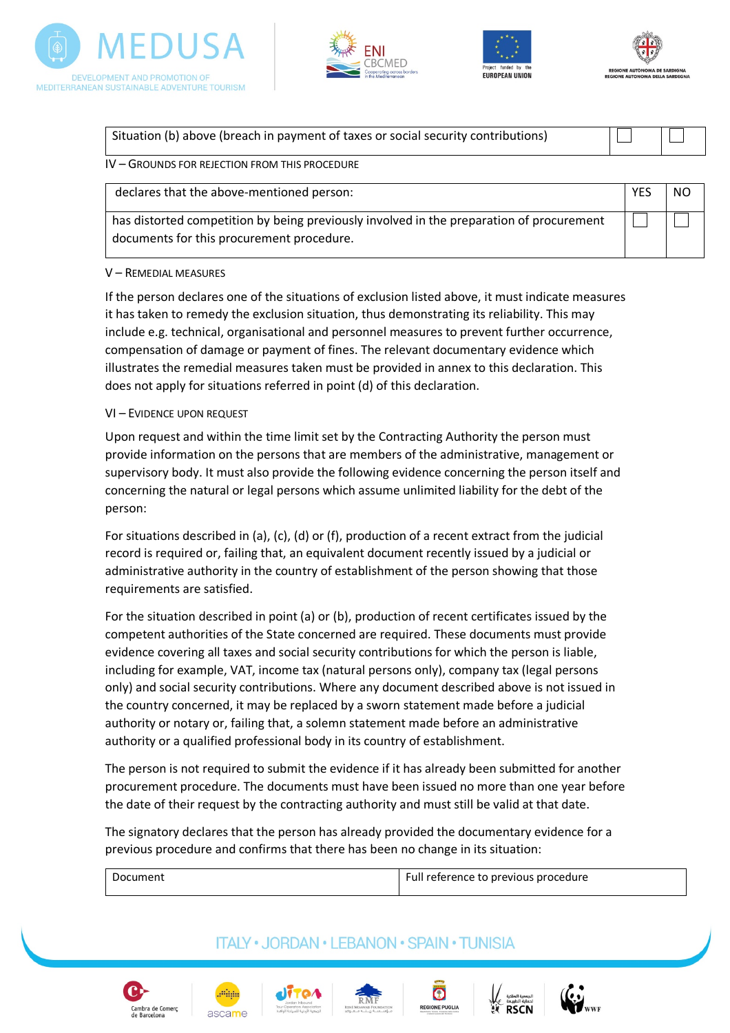







| Situation (b) above (breach in payment of taxes or social security contributions) |  |
|-----------------------------------------------------------------------------------|--|
| $IV - G$ ROUNDS FOR REJECTION FROM THIS PROCEDURE                                 |  |

declares that the above-mentioned person: YES NO

has distorted competition by being previously involved in the preparation of procurement documents for this procurement procedure.

#### V – REMEDIAL MEASURES

If the person declares one of the situations of exclusion listed above, it must indicate measures it has taken to remedy the exclusion situation, thus demonstrating its reliability. This may include e.g. technical, organisational and personnel measures to prevent further occurrence, compensation of damage or payment of fines. The relevant documentary evidence which illustrates the remedial measures taken must be provided in annex to this declaration. This does not apply for situations referred in point (d) of this declaration.

## VI – EVIDENCE UPON REQUEST

Upon request and within the time limit set by the Contracting Authority the person must provide information on the persons that are members of the administrative, management or supervisory body. It must also provide the following evidence concerning the person itself and concerning the natural or legal persons which assume unlimited liability for the debt of the person:

For situations described in (a), (c), (d) or (f), production of a recent extract from the judicial record is required or, failing that, an equivalent document recently issued by a judicial or administrative authority in the country of establishment of the person showing that those requirements are satisfied.

For the situation described in point (a) or (b), production of recent certificates issued by the competent authorities of the State concerned are required. These documents must provide evidence covering all taxes and social security contributions for which the person is liable, including for example, VAT, income tax (natural persons only), company tax (legal persons only) and social security contributions. Where any document described above is not issued in the country concerned, it may be replaced by a sworn statement made before a judicial authority or notary or, failing that, a solemn statement made before an administrative authority or a qualified professional body in its country of establishment.

The person is not required to submit the evidence if it has already been submitted for another procurement procedure. The documents must have been issued no more than one year before the date of their request by the contracting authority and must still be valid at that date.

The signatory declares that the person has already provided the documentary evidence for a previous procedure and confirms that there has been no change in its situation:

| Document | Full reference to previous procedure |
|----------|--------------------------------------|
|----------|--------------------------------------|

# **ITALY • JORDAN • LEBANON • SPAIN • TUNISIA**